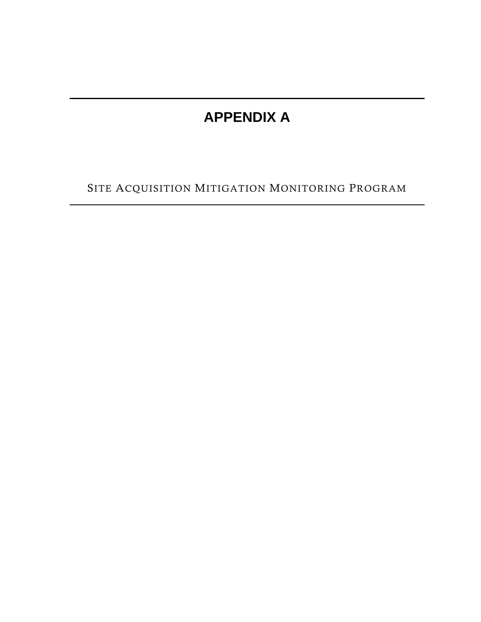## **APPENDIX A**

SITE ACQUISITION MITIGATION MONITORING PROGRAM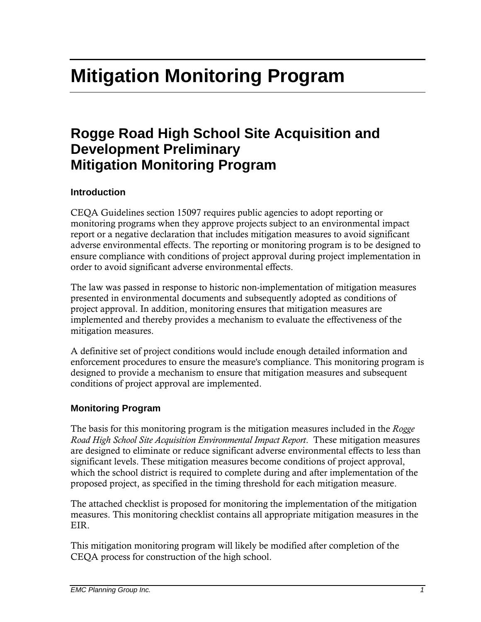# **Mitigation Monitoring Program**

### **Rogge Road High School Site Acquisition and Development Preliminary Mitigation Monitoring Program**

#### **Introduction**

CEQA Guidelines section 15097 requires public agencies to adopt reporting or monitoring programs when they approve projects subject to an environmental impact report or a negative declaration that includes mitigation measures to avoid significant adverse environmental effects. The reporting or monitoring program is to be designed to ensure compliance with conditions of project approval during project implementation in order to avoid significant adverse environmental effects.

The law was passed in response to historic non-implementation of mitigation measures presented in environmental documents and subsequently adopted as conditions of project approval. In addition, monitoring ensures that mitigation measures are implemented and thereby provides a mechanism to evaluate the effectiveness of the mitigation measures.

A definitive set of project conditions would include enough detailed information and enforcement procedures to ensure the measure's compliance. This monitoring program is designed to provide a mechanism to ensure that mitigation measures and subsequent conditions of project approval are implemented.

#### **Monitoring Program**

The basis for this monitoring program is the mitigation measures included in the *Rogge Road High School Site Acquisition Environmental Impact Report*. These mitigation measures are designed to eliminate or reduce significant adverse environmental effects to less than significant levels. These mitigation measures become conditions of project approval, which the school district is required to complete during and after implementation of the proposed project, as specified in the timing threshold for each mitigation measure.

The attached checklist is proposed for monitoring the implementation of the mitigation measures. This monitoring checklist contains all appropriate mitigation measures in the EIR.

This mitigation monitoring program will likely be modified after completion of the CEQA process for construction of the high school.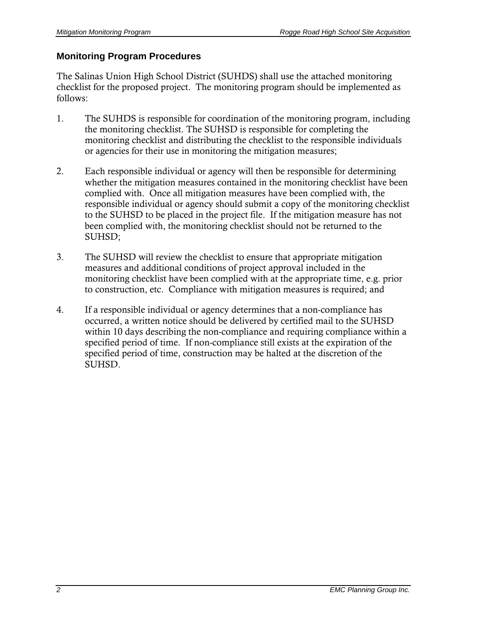#### **Monitoring Program Procedures**

The Salinas Union High School District (SUHDS) shall use the attached monitoring checklist for the proposed project. The monitoring program should be implemented as follows:

- 1. The SUHDS is responsible for coordination of the monitoring program, including the monitoring checklist. The SUHSD is responsible for completing the monitoring checklist and distributing the checklist to the responsible individuals or agencies for their use in monitoring the mitigation measures;
- 2. Each responsible individual or agency will then be responsible for determining whether the mitigation measures contained in the monitoring checklist have been complied with. Once all mitigation measures have been complied with, the responsible individual or agency should submit a copy of the monitoring checklist to the SUHSD to be placed in the project file. If the mitigation measure has not been complied with, the monitoring checklist should not be returned to the SUHSD;
- 3. The SUHSD will review the checklist to ensure that appropriate mitigation measures and additional conditions of project approval included in the monitoring checklist have been complied with at the appropriate time, e.g. prior to construction, etc. Compliance with mitigation measures is required; and
- 4. If a responsible individual or agency determines that a non-compliance has occurred, a written notice should be delivered by certified mail to the SUHSD within 10 days describing the non-compliance and requiring compliance within a specified period of time. If non-compliance still exists at the expiration of the specified period of time, construction may be halted at the discretion of the SUHSD.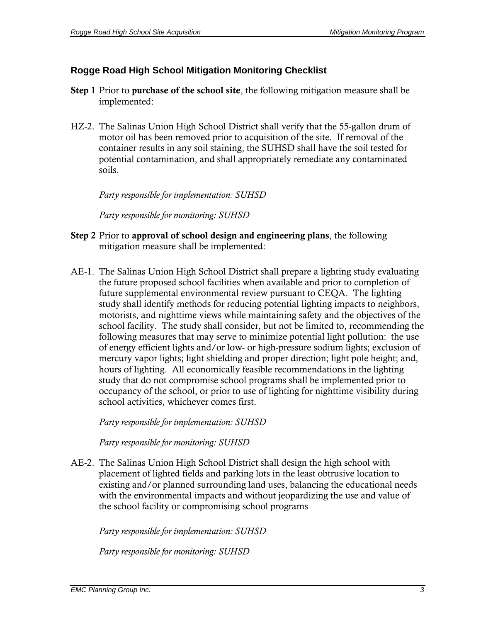#### **Rogge Road High School Mitigation Monitoring Checklist**

- Step 1 Prior to purchase of the school site, the following mitigation measure shall be implemented:
- HZ-2. The Salinas Union High School District shall verify that the 55-gallon drum of motor oil has been removed prior to acquisition of the site. If removal of the container results in any soil staining, the SUHSD shall have the soil tested for potential contamination, and shall appropriately remediate any contaminated soils.

*Party responsible for implementation: SUHSD* 

*Party responsible for monitoring: SUHSD* 

- Step 2 Prior to approval of school design and engineering plans, the following mitigation measure shall be implemented:
- AE-1. The Salinas Union High School District shall prepare a lighting study evaluating the future proposed school facilities when available and prior to completion of future supplemental environmental review pursuant to CEQA. The lighting study shall identify methods for reducing potential lighting impacts to neighbors, motorists, and nighttime views while maintaining safety and the objectives of the school facility. The study shall consider, but not be limited to, recommending the following measures that may serve to minimize potential light pollution: the use of energy efficient lights and/or low- or high-pressure sodium lights; exclusion of mercury vapor lights; light shielding and proper direction; light pole height; and, hours of lighting. All economically feasible recommendations in the lighting study that do not compromise school programs shall be implemented prior to occupancy of the school, or prior to use of lighting for nighttime visibility during school activities, whichever comes first.

*Party responsible for implementation: SUHSD* 

*Party responsible for monitoring: SUHSD* 

AE-2. The Salinas Union High School District shall design the high school with placement of lighted fields and parking lots in the least obtrusive location to existing and/or planned surrounding land uses, balancing the educational needs with the environmental impacts and without jeopardizing the use and value of the school facility or compromising school programs

*Party responsible for implementation: SUHSD*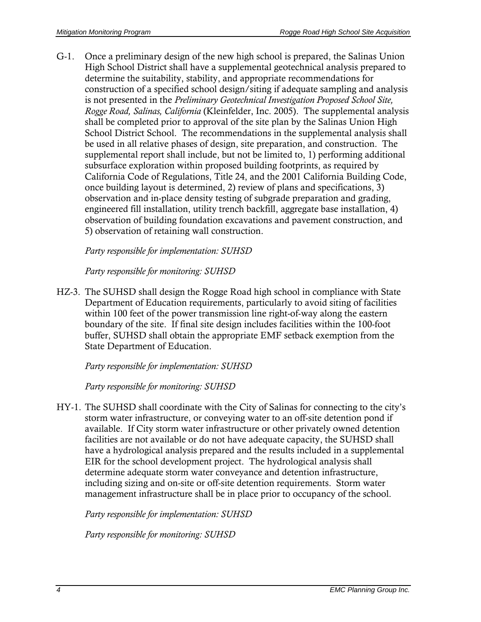G-1. Once a preliminary design of the new high school is prepared, the Salinas Union High School District shall have a supplemental geotechnical analysis prepared to determine the suitability, stability, and appropriate recommendations for construction of a specified school design/siting if adequate sampling and analysis is not presented in the *Preliminary Geotechnical Investigation Proposed School Site, Rogge Road, Salinas, California* (Kleinfelder, Inc. 2005). The supplemental analysis shall be completed prior to approval of the site plan by the Salinas Union High School District School. The recommendations in the supplemental analysis shall be used in all relative phases of design, site preparation, and construction. The supplemental report shall include, but not be limited to, 1) performing additional subsurface exploration within proposed building footprints, as required by California Code of Regulations, Title 24, and the 2001 California Building Code, once building layout is determined, 2) review of plans and specifications, 3) observation and in-place density testing of subgrade preparation and grading, engineered fill installation, utility trench backfill, aggregate base installation, 4) observation of building foundation excavations and pavement construction, and 5) observation of retaining wall construction.

*Party responsible for implementation: SUHSD* 

*Party responsible for monitoring: SUHSD* 

HZ-3. The SUHSD shall design the Rogge Road high school in compliance with State Department of Education requirements, particularly to avoid siting of facilities within 100 feet of the power transmission line right-of-way along the eastern boundary of the site. If final site design includes facilities within the 100-foot buffer, SUHSD shall obtain the appropriate EMF setback exemption from the State Department of Education.

*Party responsible for implementation: SUHSD* 

*Party responsible for monitoring: SUHSD* 

HY-1. The SUHSD shall coordinate with the City of Salinas for connecting to the city's storm water infrastructure, or conveying water to an off-site detention pond if available. If City storm water infrastructure or other privately owned detention facilities are not available or do not have adequate capacity, the SUHSD shall have a hydrological analysis prepared and the results included in a supplemental EIR for the school development project. The hydrological analysis shall determine adequate storm water conveyance and detention infrastructure, including sizing and on-site or off-site detention requirements. Storm water management infrastructure shall be in place prior to occupancy of the school.

*Party responsible for implementation: SUHSD*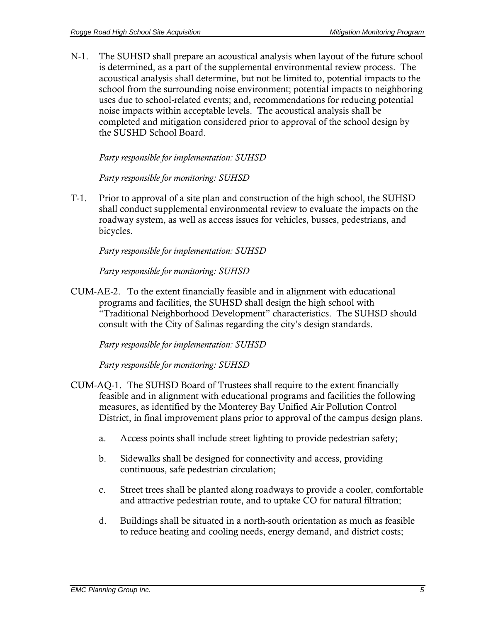N-1. The SUHSD shall prepare an acoustical analysis when layout of the future school is determined, as a part of the supplemental environmental review process. The acoustical analysis shall determine, but not be limited to, potential impacts to the school from the surrounding noise environment; potential impacts to neighboring uses due to school-related events; and, recommendations for reducing potential noise impacts within acceptable levels. The acoustical analysis shall be completed and mitigation considered prior to approval of the school design by the SUSHD School Board.

*Party responsible for implementation: SUHSD* 

*Party responsible for monitoring: SUHSD* 

T-1. Prior to approval of a site plan and construction of the high school, the SUHSD shall conduct supplemental environmental review to evaluate the impacts on the roadway system, as well as access issues for vehicles, busses, pedestrians, and bicycles.

*Party responsible for implementation: SUHSD* 

*Party responsible for monitoring: SUHSD* 

CUM-AE-2. To the extent financially feasible and in alignment with educational programs and facilities, the SUHSD shall design the high school with "Traditional Neighborhood Development" characteristics. The SUHSD should consult with the City of Salinas regarding the city's design standards.

*Party responsible for implementation: SUHSD* 

- CUM-AQ-1. The SUHSD Board of Trustees shall require to the extent financially feasible and in alignment with educational programs and facilities the following measures, as identified by the Monterey Bay Unified Air Pollution Control District, in final improvement plans prior to approval of the campus design plans.
	- a. Access points shall include street lighting to provide pedestrian safety;
	- b. Sidewalks shall be designed for connectivity and access, providing continuous, safe pedestrian circulation;
	- c. Street trees shall be planted along roadways to provide a cooler, comfortable and attractive pedestrian route, and to uptake CO for natural filtration;
	- d. Buildings shall be situated in a north-south orientation as much as feasible to reduce heating and cooling needs, energy demand, and district costs;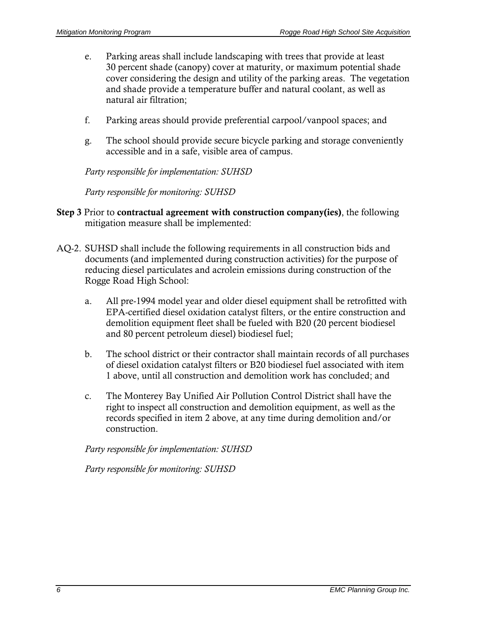- e. Parking areas shall include landscaping with trees that provide at least 30 percent shade (canopy) cover at maturity, or maximum potential shade cover considering the design and utility of the parking areas. The vegetation and shade provide a temperature buffer and natural coolant, as well as natural air filtration;
- f. Parking areas should provide preferential carpool/vanpool spaces; and
- g. The school should provide secure bicycle parking and storage conveniently accessible and in a safe, visible area of campus.

*Party responsible for implementation: SUHSD* 

*Party responsible for monitoring: SUHSD* 

- Step 3 Prior to contractual agreement with construction company(ies), the following mitigation measure shall be implemented:
- AQ-2. SUHSD shall include the following requirements in all construction bids and documents (and implemented during construction activities) for the purpose of reducing diesel particulates and acrolein emissions during construction of the Rogge Road High School:
	- a. All pre-1994 model year and older diesel equipment shall be retrofitted with EPA-certified diesel oxidation catalyst filters, or the entire construction and demolition equipment fleet shall be fueled with B20 (20 percent biodiesel and 80 percent petroleum diesel) biodiesel fuel;
	- b. The school district or their contractor shall maintain records of all purchases of diesel oxidation catalyst filters or B20 biodiesel fuel associated with item 1 above, until all construction and demolition work has concluded; and
	- c. The Monterey Bay Unified Air Pollution Control District shall have the right to inspect all construction and demolition equipment, as well as the records specified in item 2 above, at any time during demolition and/or construction.

*Party responsible for implementation: SUHSD*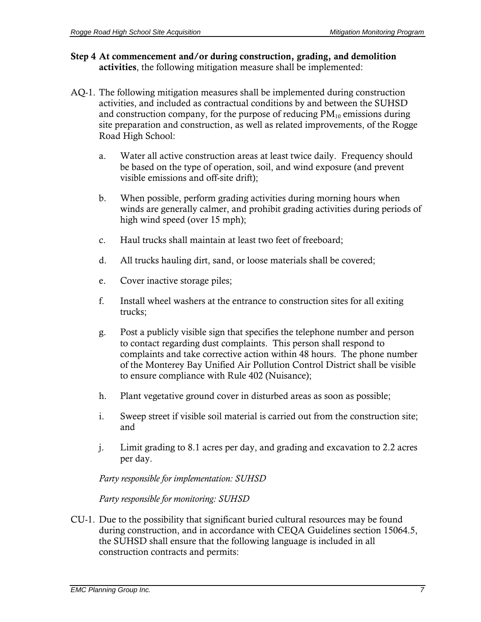- Step 4 At commencement and/or during construction, grading, and demolition activities, the following mitigation measure shall be implemented:
- AQ-1. The following mitigation measures shall be implemented during construction activities, and included as contractual conditions by and between the SUHSD and construction company, for the purpose of reducing  $PM_{10}$  emissions during site preparation and construction, as well as related improvements, of the Rogge Road High School:
	- a. Water all active construction areas at least twice daily. Frequency should be based on the type of operation, soil, and wind exposure (and prevent visible emissions and off-site drift);
	- b. When possible, perform grading activities during morning hours when winds are generally calmer, and prohibit grading activities during periods of high wind speed (over 15 mph);
	- c. Haul trucks shall maintain at least two feet of freeboard;
	- d. All trucks hauling dirt, sand, or loose materials shall be covered;
	- e. Cover inactive storage piles;
	- f. Install wheel washers at the entrance to construction sites for all exiting trucks;
	- g. Post a publicly visible sign that specifies the telephone number and person to contact regarding dust complaints. This person shall respond to complaints and take corrective action within 48 hours. The phone number of the Monterey Bay Unified Air Pollution Control District shall be visible to ensure compliance with Rule 402 (Nuisance);
	- h. Plant vegetative ground cover in disturbed areas as soon as possible;
	- i. Sweep street if visible soil material is carried out from the construction site; and
	- j. Limit grading to 8.1 acres per day, and grading and excavation to 2.2 acres per day.

*Party responsible for implementation: SUHSD* 

*Party responsible for monitoring: SUHSD* 

CU-1. Due to the possibility that significant buried cultural resources may be found during construction, and in accordance with CEQA Guidelines section 15064.5, the SUHSD shall ensure that the following language is included in all construction contracts and permits: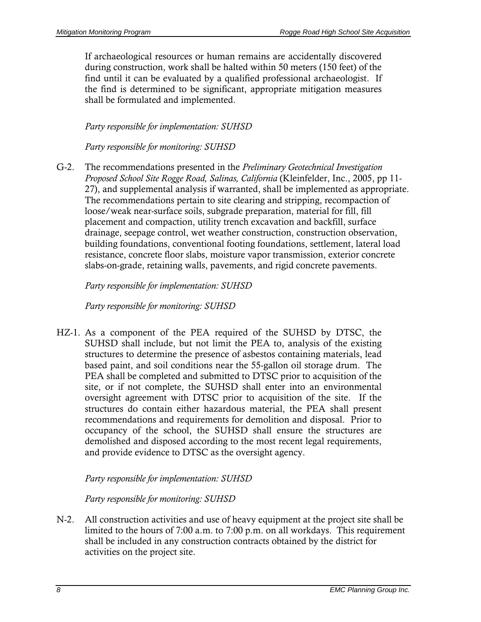If archaeological resources or human remains are accidentally discovered during construction, work shall be halted within 50 meters (150 feet) of the find until it can be evaluated by a qualified professional archaeologist. If the find is determined to be significant, appropriate mitigation measures shall be formulated and implemented.

#### *Party responsible for implementation: SUHSD*

*Party responsible for monitoring: SUHSD* 

G-2. The recommendations presented in the *Preliminary Geotechnical Investigation Proposed School Site Rogge Road, Salinas, California* (Kleinfelder, Inc., 2005, pp 11- 27), and supplemental analysis if warranted, shall be implemented as appropriate. The recommendations pertain to site clearing and stripping, recompaction of loose/weak near-surface soils, subgrade preparation, material for fill, fill placement and compaction, utility trench excavation and backfill, surface drainage, seepage control, wet weather construction, construction observation, building foundations, conventional footing foundations, settlement, lateral load resistance, concrete floor slabs, moisture vapor transmission, exterior concrete slabs-on-grade, retaining walls, pavements, and rigid concrete pavements.

#### *Party responsible for implementation: SUHSD*

*Party responsible for monitoring: SUHSD* 

HZ-1. As a component of the PEA required of the SUHSD by DTSC, the SUHSD shall include, but not limit the PEA to, analysis of the existing structures to determine the presence of asbestos containing materials, lead based paint, and soil conditions near the 55-gallon oil storage drum. The PEA shall be completed and submitted to DTSC prior to acquisition of the site, or if not complete, the SUHSD shall enter into an environmental oversight agreement with DTSC prior to acquisition of the site. If the structures do contain either hazardous material, the PEA shall present recommendations and requirements for demolition and disposal. Prior to occupancy of the school, the SUHSD shall ensure the structures are demolished and disposed according to the most recent legal requirements, and provide evidence to DTSC as the oversight agency.

#### *Party responsible for implementation: SUHSD*

#### *Party responsible for monitoring: SUHSD*

N-2. All construction activities and use of heavy equipment at the project site shall be limited to the hours of 7:00 a.m. to 7:00 p.m. on all workdays. This requirement shall be included in any construction contracts obtained by the district for activities on the project site.